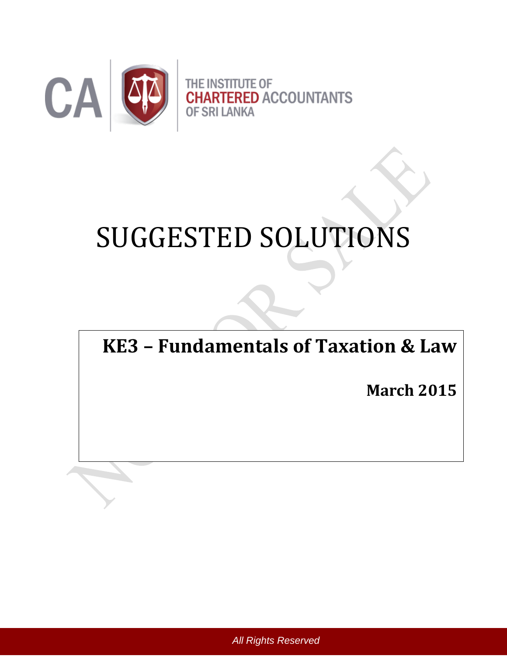

# SUGGESTED SOLUTIONS

**KE3 – Fundamentals of Taxation & Law**

**March 2015**

*All Rights Reserved*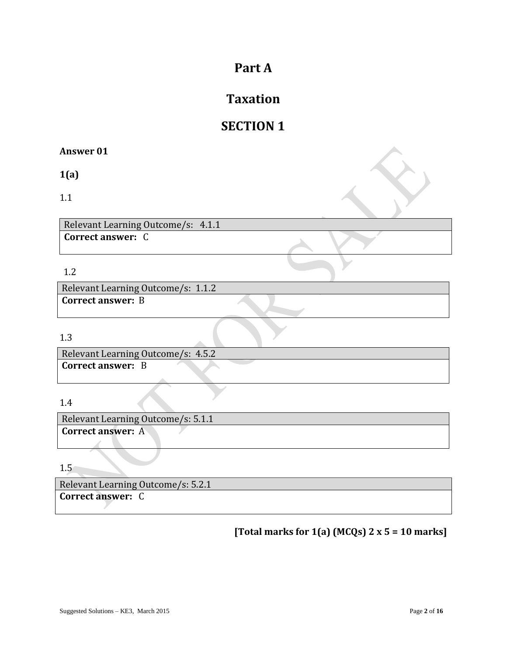# **Part A**

# **Taxation**

# **SECTION 1**

#### **Answer 01**

**1(a)**

1.1

Relevant Learning Outcome/s: 4.1.1 **Correct answer:** C

#### 1.2

Relevant Learning Outcome/s: 1.1.2 **Correct answer:** B

#### 1.3

Relevant Learning Outcome/s: 4.5.2 **Correct answer:** B

## 1.4

Relevant Learning Outcome/s: 5.1.1 **Correct answer:** A

1.5

Relevant Learning Outcome/s: 5.2.1 **Correct answer:** C

**[Total marks for 1(a) (MCQs) 2 x 5 = 10 marks]**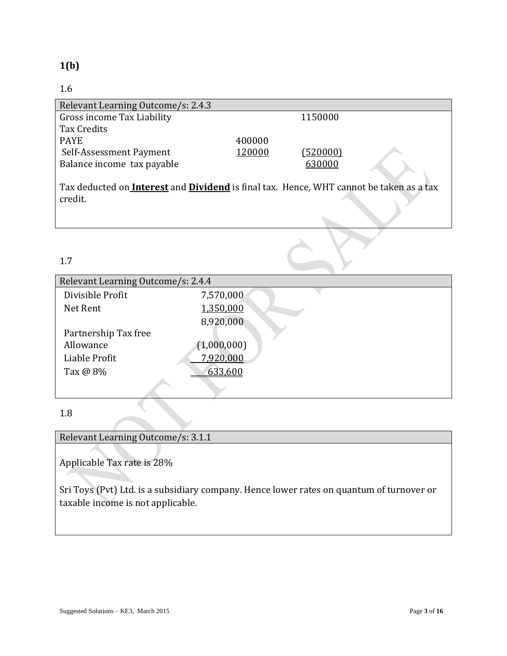## **1(b)**

## 1.6

| Relevant Learning Outcome/s: 2.4.3                                                                               |        |          |  |
|------------------------------------------------------------------------------------------------------------------|--------|----------|--|
| Gross income Tax Liability                                                                                       |        | 1150000  |  |
| Tax Credits                                                                                                      |        |          |  |
| <b>PAYE</b>                                                                                                      | 400000 |          |  |
| Self-Assessment Payment                                                                                          | 120000 | (520000) |  |
| Balance income tax payable                                                                                       |        | 630000   |  |
| Tax deducted on <b>Interest</b> and <b>Dividend</b> is final tax. Hence, WHT cannot be taken as a tax<br>credit. |        |          |  |

1.7

| Relevant Learning Outcome/s: 2.4.4 |             |  |
|------------------------------------|-------------|--|
| Divisible Profit                   | 7,570,000   |  |
| Net Rent                           | 1,350,000   |  |
|                                    | 8,920,000   |  |
| Partnership Tax free               |             |  |
| Allowance                          | (1,000,000) |  |
| Liable Profit                      | 7,920,000   |  |
| Tax @ 8%                           | 633,600     |  |
|                                    |             |  |

#### 1.8

Relevant Learning Outcome/s: 3.1.1

Applicable Tax rate is 28%

Sri Toys (Pvt) Ltd. is a subsidiary company. Hence lower rates on quantum of turnover or taxable income is not applicable.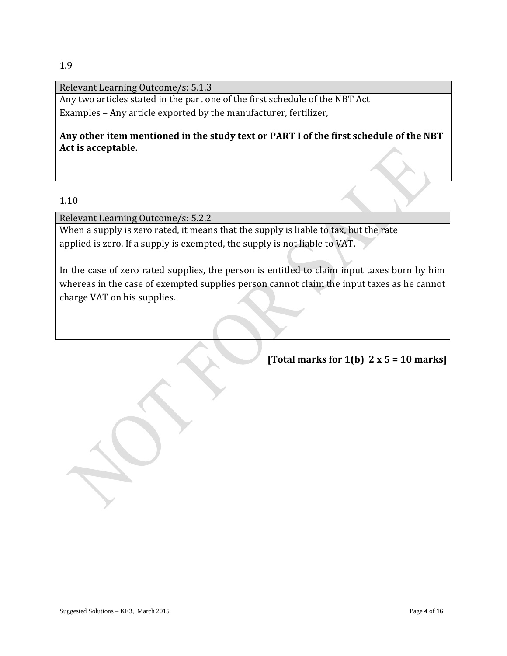Relevant Learning Outcome/s: 5.1.3

Any two articles stated in the part one of the first schedule of the NBT Act Examples – Any article exported by the manufacturer, fertilizer,

**Any other item mentioned in the study text or PART I of the first schedule of the NBT Act is acceptable.**

#### 1.10

Relevant Learning Outcome/s: 5.2.2

When a supply is zero rated, it means that the supply is liable to tax, but the rate applied is zero. If a supply is exempted, the supply is not liable to VAT.

In the case of zero rated supplies, the person is entitled to claim input taxes born by him whereas in the case of exempted supplies person cannot claim the input taxes as he cannot charge VAT on his supplies.

**[Total marks for 1(b) 2 x 5 = 10 marks]**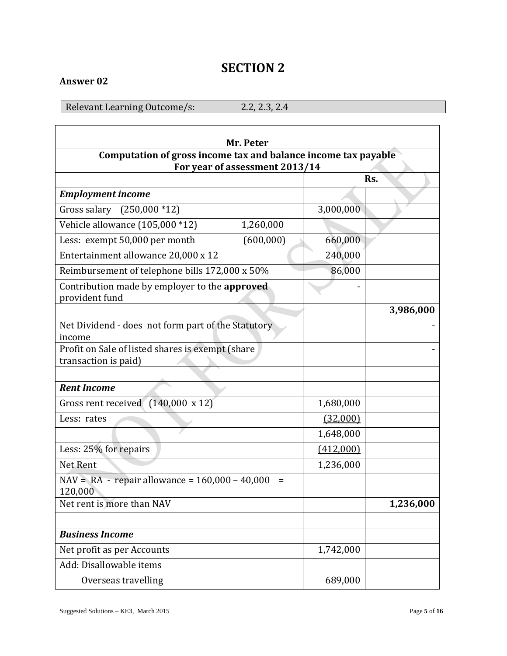# **SECTION 2**

## **Answer 02**

Relevant Learning Outcome/s: 2.2, 2.3, 2.4

| Mr. Peter                                                                                        |           |           |  |
|--------------------------------------------------------------------------------------------------|-----------|-----------|--|
| Computation of gross income tax and balance income tax payable<br>For year of assessment 2013/14 |           |           |  |
|                                                                                                  |           | Rs.       |  |
| <b>Employment income</b>                                                                         |           |           |  |
| Gross salary $(250,000 * 12)$                                                                    | 3,000,000 |           |  |
| Vehicle allowance (105,000 *12)<br>1,260,000                                                     |           |           |  |
| (600,000)<br>Less: exempt 50,000 per month                                                       | 660,000   |           |  |
| Entertainment allowance 20,000 x 12                                                              | 240,000   |           |  |
| Reimbursement of telephone bills 172,000 x 50%                                                   | 86,000    |           |  |
| Contribution made by employer to the approved<br>provident fund                                  |           |           |  |
|                                                                                                  |           | 3,986,000 |  |
| Net Dividend - does not form part of the Statutory<br>income                                     |           |           |  |
| Profit on Sale of listed shares is exempt (share<br>transaction is paid)                         |           |           |  |
|                                                                                                  |           |           |  |
| <b>Rent Income</b>                                                                               |           |           |  |
| Gross rent received $(140,000 \times 12)$                                                        | 1,680,000 |           |  |
| Less: rates                                                                                      | (32,000)  |           |  |
|                                                                                                  | 1,648,000 |           |  |
| Less: 25% for repairs                                                                            | (412,000) |           |  |
| Net Rent                                                                                         | 1,236,000 |           |  |
| $NAV = RA - repair$ allowance = 160,000 - 40,000<br>$\equiv$<br>120,000                          |           |           |  |
| Net rent is more than NAV                                                                        |           | 1,236,000 |  |
| <b>Business Income</b>                                                                           |           |           |  |
| Net profit as per Accounts                                                                       | 1,742,000 |           |  |
| Add: Disallowable items                                                                          |           |           |  |
| Overseas travelling                                                                              | 689,000   |           |  |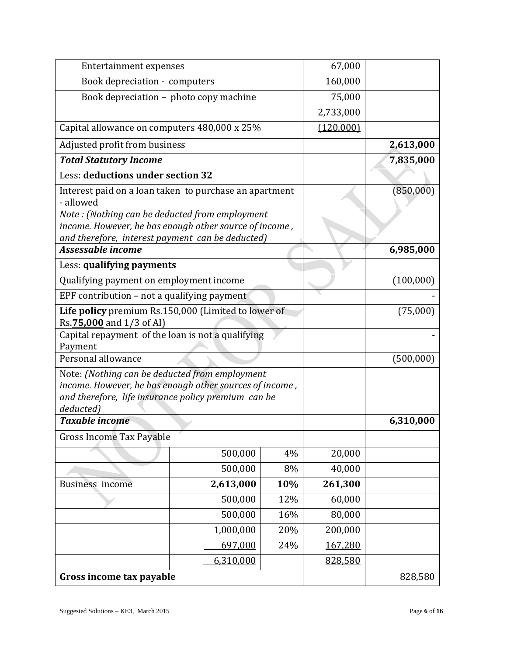| Entertainment expenses                                                                                                                                                        |                                                        | 67,000  |           |           |
|-------------------------------------------------------------------------------------------------------------------------------------------------------------------------------|--------------------------------------------------------|---------|-----------|-----------|
| Book depreciation - computers                                                                                                                                                 |                                                        | 160,000 |           |           |
|                                                                                                                                                                               | Book depreciation - photo copy machine                 |         | 75,000    |           |
|                                                                                                                                                                               |                                                        |         | 2,733,000 |           |
| Capital allowance on computers 480,000 x 25%                                                                                                                                  |                                                        |         | (120,000) |           |
| Adjusted profit from business                                                                                                                                                 |                                                        |         |           | 2,613,000 |
| <b>Total Statutory Income</b>                                                                                                                                                 |                                                        |         |           | 7,835,000 |
| Less: deductions under section 32                                                                                                                                             |                                                        |         |           |           |
| - allowed                                                                                                                                                                     | Interest paid on a loan taken to purchase an apartment |         |           | (850,000) |
| Note: (Nothing can be deducted from employment<br>income. However, he has enough other source of income,<br>and therefore, interest payment can be deducted)                  |                                                        |         |           |           |
| Assessable income                                                                                                                                                             |                                                        |         |           | 6,985,000 |
| Less: qualifying payments                                                                                                                                                     |                                                        |         |           |           |
| Qualifying payment on employment income                                                                                                                                       |                                                        |         |           | (100,000) |
|                                                                                                                                                                               | EPF contribution – not a qualifying payment            |         |           |           |
| Life policy premium Rs.150,000 (Limited to lower of<br>Rs.75,000 and 1/3 of AI)                                                                                               |                                                        |         | (75,000)  |           |
| Capital repayment of the loan is not a qualifying<br>Payment                                                                                                                  |                                                        |         |           |           |
| Personal allowance                                                                                                                                                            |                                                        |         | (500,000) |           |
| Note: (Nothing can be deducted from employment<br>income. However, he has enough other sources of income,<br>and therefore, life insurance policy premium can be<br>deducted) |                                                        |         |           |           |
| <b>Taxable income</b>                                                                                                                                                         |                                                        |         | 6,310,000 |           |
| <b>Gross Income Tax Payable</b>                                                                                                                                               |                                                        |         |           |           |
|                                                                                                                                                                               | 500,000                                                | 4%      | 20,000    |           |
|                                                                                                                                                                               | 500,000                                                | 8%      | 40,000    |           |
| Business income                                                                                                                                                               | 2,613,000                                              | 10%     | 261,300   |           |
|                                                                                                                                                                               | 500,000                                                | 12%     | 60,000    |           |
|                                                                                                                                                                               | 500,000                                                | 16%     | 80,000    |           |
|                                                                                                                                                                               | 1,000,000                                              | 20%     | 200,000   |           |
|                                                                                                                                                                               | 697,000                                                | 24%     | 167,280   |           |
|                                                                                                                                                                               | 6,310,000                                              |         | 828,580   |           |
| Gross income tax payable                                                                                                                                                      |                                                        |         |           | 828,580   |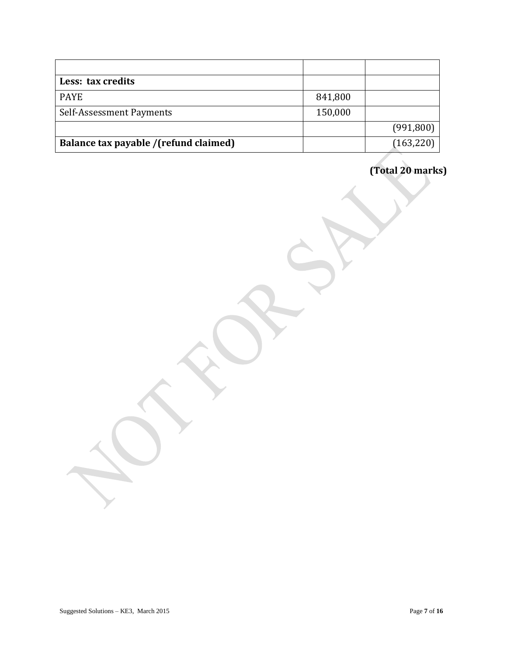| Less: tax credits                     |         |            |
|---------------------------------------|---------|------------|
| <b>PAYE</b>                           | 841,800 |            |
| Self-Assessment Payments              | 150,000 |            |
|                                       |         | (991,800)  |
| Balance tax payable /(refund claimed) |         | (163, 220) |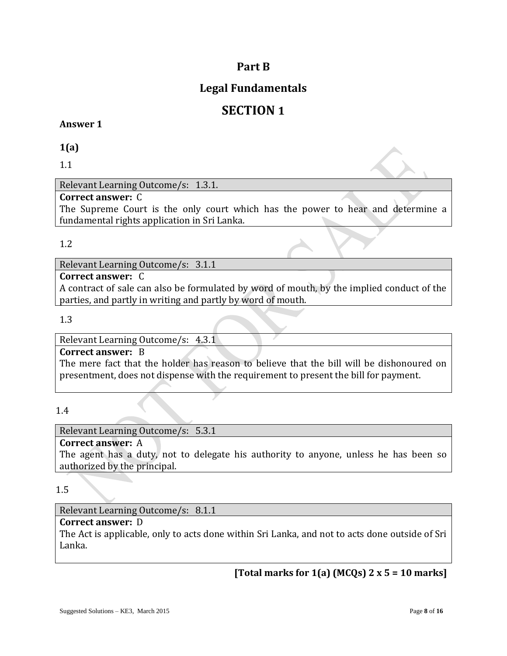## **Part B**

## **Legal Fundamentals**

# **SECTION 1**

#### **Answer 1**

**1(a)**

1.1

Relevant Learning Outcome/s: 1.3.1.

#### **Correct answer:** C

The Supreme Court is the only court which has the power to hear and determine a fundamental rights application in Sri Lanka.

#### 1.2

Relevant Learning Outcome/s: 3.1.1

#### **Correct answer:** C

A contract of sale can also be formulated by word of mouth, by the implied conduct of the parties, and partly in writing and partly by word of mouth.

1.3

Relevant Learning Outcome/s: 4.3.1

#### **Correct answer:** B

The mere fact that the holder has reason to believe that the bill will be dishonoured on presentment, does not dispense with the requirement to present the bill for payment.

1.4

Relevant Learning Outcome/s: 5.3.1

## **Correct answer:** A

The agent has a duty, not to delegate his authority to anyone, unless he has been so authorized by the principal.

1.5

## Relevant Learning Outcome/s: 8.1.1

#### **Correct answer:** D

The Act is applicable, only to acts done within Sri Lanka, and not to acts done outside of Sri Lanka.

**[Total marks for 1(a) (MCQs) 2 x 5 = 10 marks]**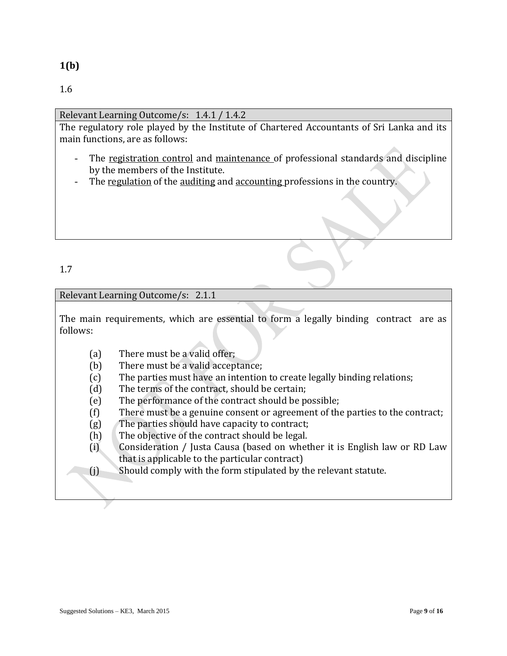#### Relevant Learning Outcome/s: 1.4.1 / 1.4.2

The regulatory role played by the Institute of Chartered Accountants of Sri Lanka and its main functions, are as follows:

- The registration control and maintenance of professional standards and discipline by the members of the Institute.
- The regulation of the auditing and accounting professions in the country.

## 1.7

#### Relevant Learning Outcome/s: 2.1.1

The main requirements, which are essential to form a legally binding contract are as follows:

- (a) There must be a valid offer;
- (b) There must be a valid acceptance;
- (c) The parties must have an intention to create legally binding relations;
- (d) The terms of the contract, should be certain;
- (e) The performance of the contract should be possible;
- (f) There must be a genuine consent or agreement of the parties to the contract;
- (g) The parties should have capacity to contract;
- (h) The objective of the contract should be legal.
- (i) Consideration / Justa Causa (based on whether it is English law or RD Law that is applicable to the particular contract)
- (j) Should comply with the form stipulated by the relevant statute.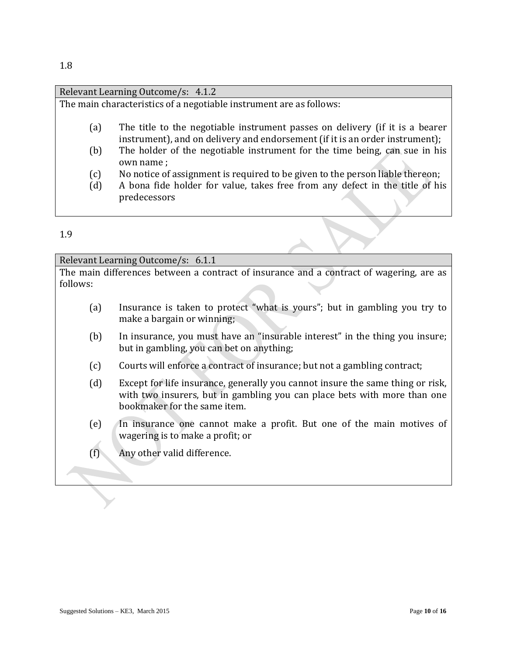|     | Relevant Learning Outcome/s: 4.1.2                                            |
|-----|-------------------------------------------------------------------------------|
|     | The main characteristics of a negotiable instrument are as follows:           |
|     |                                                                               |
| (a) | The title to the negotiable instrument passes on delivery (if it is a bearer  |
|     | instrument), and on delivery and endorsement (if it is an order instrument);  |
| (b) | The holder of the negotiable instrument for the time being, can sue in his    |
|     | own name;                                                                     |
| (c) | No notice of assignment is required to be given to the person liable thereon; |
| (d) | A bona fide holder for value, takes free from any defect in the title of his  |
|     | predecessors                                                                  |
|     |                                                                               |
|     |                                                                               |
| 1 Q |                                                                               |

#### Relevant Learning Outcome/s: 6.1.1 The main differences between a contract of insurance and a contract of wagering, are as follows:

- (a) Insurance is taken to protect "what is yours"; but in gambling you try to make a bargain or winning;
- (b) In insurance, you must have an "insurable interest" in the thing you insure; but in gambling, you can bet on anything;
- (c) Courts will enforce a contract of insurance; but not a gambling contract;
- (d) Except for life insurance, generally you cannot insure the same thing or risk, with two insurers, but in gambling you can place bets with more than one bookmaker for the same item.
- (e) In insurance one cannot make a profit. But one of the main motives of wagering is to make a profit; or
- (f) Any other valid difference.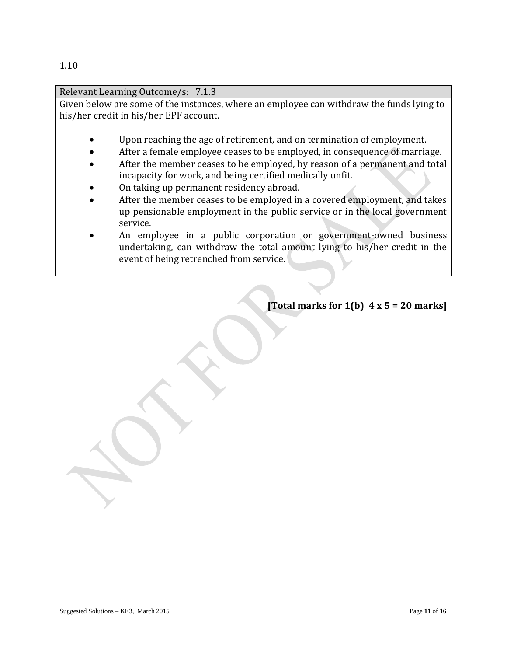Relevant Learning Outcome/s: 7.1.3 Given below are some of the instances, where an employee can withdraw the funds lying to his/her credit in his/her EPF account. Upon reaching the age of retirement, and on termination of employment. After a female employee ceases to be employed, in consequence of marriage.

- After the member ceases to be employed, by reason of a permanent and total incapacity for work, and being certified medically unfit.
- On taking up permanent residency abroad.
- After the member ceases to be employed in a covered employment, and takes up pensionable employment in the public service or in the local government service.
- An employee in a public corporation or government-owned business undertaking, can withdraw the total amount lying to his/her credit in the event of being retrenched from service.

 **[Total marks for 1(b) 4 x 5 = 20 marks]**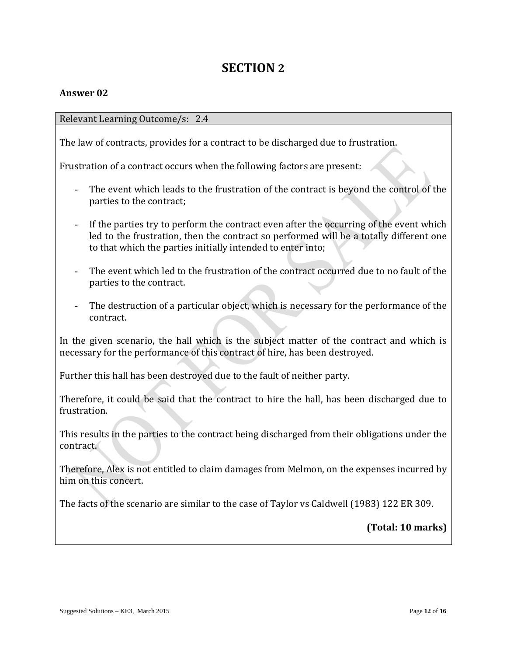## **SECTION 2**

#### **Answer 02**

Relevant Learning Outcome/s: 2.4

The law of contracts, provides for a contract to be discharged due to frustration.

Frustration of a contract occurs when the following factors are present:

- The event which leads to the frustration of the contract is beyond the control of the parties to the contract;
- If the parties try to perform the contract even after the occurring of the event which led to the frustration, then the contract so performed will be a totally different one to that which the parties initially intended to enter into;
- The event which led to the frustration of the contract occurred due to no fault of the parties to the contract.
- The destruction of a particular object, which is necessary for the performance of the contract.

In the given scenario, the hall which is the subject matter of the contract and which is necessary for the performance of this contract of hire, has been destroyed.

Further this hall has been destroyed due to the fault of neither party.

Therefore, it could be said that the contract to hire the hall, has been discharged due to frustration.

This results in the parties to the contract being discharged from their obligations under the contract.

Therefore, Alex is not entitled to claim damages from Melmon, on the expenses incurred by him on this concert.

The facts of the scenario are similar to the case of Taylor vs Caldwell (1983) 122 ER 309.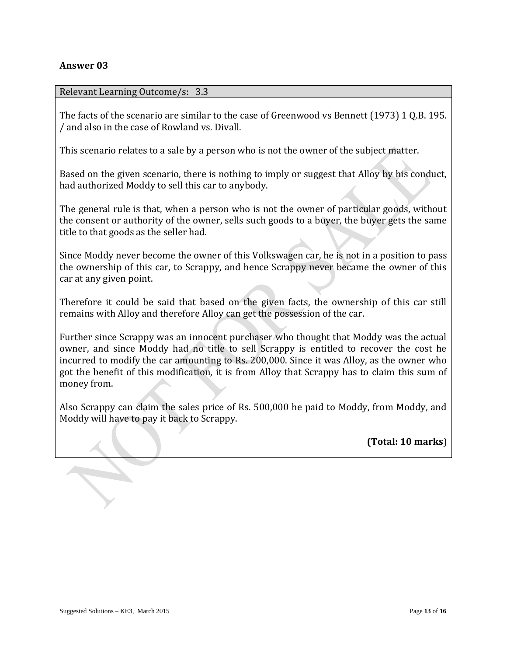#### **Answer 03**

#### Relevant Learning Outcome/s: 3.3

The facts of the scenario are similar to the case of Greenwood vs Bennett (1973) 1 Q.B. 195. / and also in the case of Rowland vs. Divall.

This scenario relates to a sale by a person who is not the owner of the subject matter.

Based on the given scenario, there is nothing to imply or suggest that Alloy by his conduct, had authorized Moddy to sell this car to anybody.

The general rule is that, when a person who is not the owner of particular goods, without the consent or authority of the owner, sells such goods to a buyer, the buyer gets the same title to that goods as the seller had.

Since Moddy never become the owner of this Volkswagen car, he is not in a position to pass the ownership of this car, to Scrappy, and hence Scrappy never became the owner of this car at any given point.

Therefore it could be said that based on the given facts, the ownership of this car still remains with Alloy and therefore Alloy can get the possession of the car.

Further since Scrappy was an innocent purchaser who thought that Moddy was the actual owner, and since Moddy had no title to sell Scrappy is entitled to recover the cost he incurred to modify the car amounting to Rs. 200,000. Since it was Alloy, as the owner who got the benefit of this modification, it is from Alloy that Scrappy has to claim this sum of money from.

Also Scrappy can claim the sales price of Rs. 500,000 he paid to Moddy, from Moddy, and Moddy will have to pay it back to Scrappy.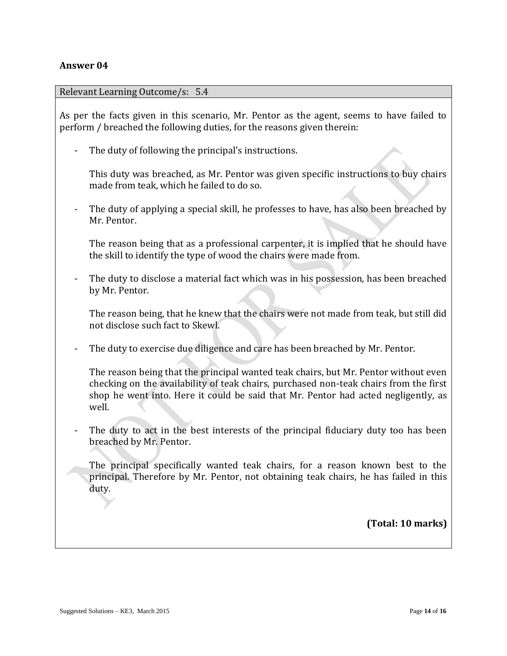#### **Answer 04**

#### Relevant Learning Outcome/s: 5.4

As per the facts given in this scenario, Mr. Pentor as the agent, seems to have failed to perform / breached the following duties, for the reasons given therein:

- The duty of following the principal's instructions.

This duty was breached, as Mr. Pentor was given specific instructions to buy chairs made from teak, which he failed to do so.

The duty of applying a special skill, he professes to have, has also been breached by Mr. Pentor.

The reason being that as a professional carpenter, it is implied that he should have the skill to identify the type of wood the chairs were made from.

The duty to disclose a material fact which was in his possession, has been breached by Mr. Pentor.

The reason being, that he knew that the chairs were not made from teak, but still did not disclose such fact to Skewl.

The duty to exercise due diligence and care has been breached by Mr. Pentor.

The reason being that the principal wanted teak chairs, but Mr. Pentor without even checking on the availability of teak chairs, purchased non-teak chairs from the first shop he went into. Here it could be said that Mr. Pentor had acted negligently, as well.

The duty to act in the best interests of the principal fiduciary duty too has been breached by Mr. Pentor.

The principal specifically wanted teak chairs, for a reason known best to the principal. Therefore by Mr. Pentor, not obtaining teak chairs, he has failed in this duty.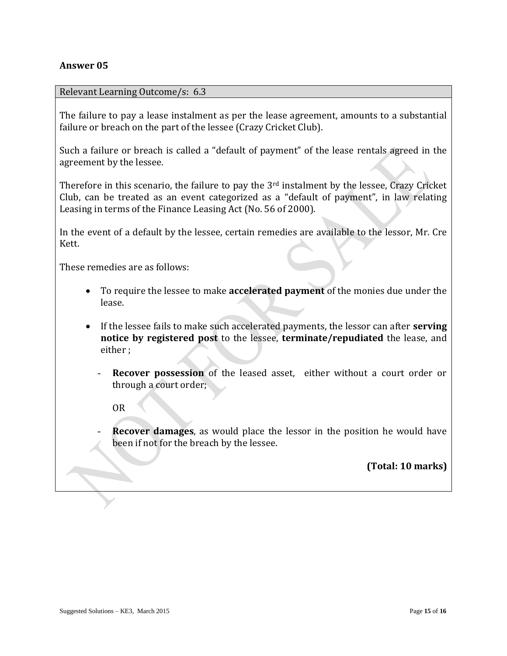#### **Answer 05**

#### Relevant Learning Outcome/s: 6.3

The failure to pay a lease instalment as per the lease agreement, amounts to a substantial failure or breach on the part of the lessee (Crazy Cricket Club).

Such a failure or breach is called a "default of payment" of the lease rentals agreed in the agreement by the lessee.

Therefore in this scenario, the failure to pay the 3<sup>rd</sup> instalment by the lessee, Crazy Cricket Club, can be treated as an event categorized as a "default of payment", in law relating Leasing in terms of the Finance Leasing Act (No. 56 of 2000).

In the event of a default by the lessee, certain remedies are available to the lessor, Mr. Cre Kett.

These remedies are as follows:

- To require the lessee to make **accelerated payment** of the monies due under the lease.
- If the lessee fails to make such accelerated payments, the lessor can after **serving notice by registered post** to the lessee, **terminate/repudiated** the lease, and either ;
	- **Recover possession** of the leased asset, either without a court order or through a court order;

OR

**Recover damages**, as would place the lessor in the position he would have been if not for the breach by the lessee.